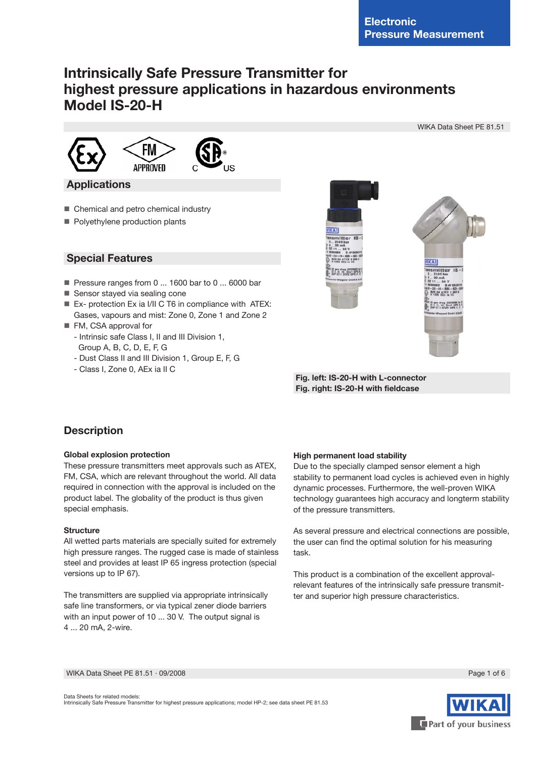# **Intrinsically Safe Pressure Transmitter for highest pressure applications in hazardous environments Model IS-20-H**





## **Applications**

- Chemical and petro chemical industry
- **Polyethylene production plants**

## **Special Features**

- Pressure ranges from 0 ... 1600 bar to 0 ... 6000 bar
- Sensor stayed via sealing cone
- Ex- protection Ex ia I/II C T6 in compliance with ATEX: Gases, vapours and mist: Zone 0, Zone 1 and Zone 2
- FM, CSA approval for
	- Intrinsic safe Class I, II and III Division 1, Group A, B, C, D, E, F, G
	- Dust Class II and III Division 1, Group E, F, G
	- Class I, Zone 0, AEx ia II C



 **Fig. left: IS-20-H with L-connector Fig. right: IS-20-H with fieldcase**

# **Description**

## **Global explosion protection**

These pressure transmitters meet approvals such as ATEX, FM, CSA, which are relevant throughout the world. All data required in connection with the approval is included on the product label. The globality of the product is thus given special emphasis.

## **Structure**

All wetted parts materials are specially suited for extremely high pressure ranges. The rugged case is made of stainless steel and provides at least IP 65 ingress protection (special versions up to IP 67).

The transmitters are supplied via appropriate intrinsically safe line transformers, or via typical zener diode barriers with an input power of 10 ... 30 V. The output signal is 4 ... 20 mA, 2-wire.

## **High permanent load stability**

Due to the specially clamped sensor element a high stability to permanent load cycles is achieved even in highly dynamic processes. Furthermore, the well-proven WIKA technology guarantees high accuracy and longterm stability of the pressure transmitters.

As several pressure and electrical connections are possible, the user can find the optimal solution for his measuring task.

This product is a combination of the excellent approvalrelevant features of the intrinsically safe pressure transmitter and superior high pressure characteristics.

WIKA Data Sheet PE 81.51 ⋅ 09/2008 Page 1 of 6



Part of your business

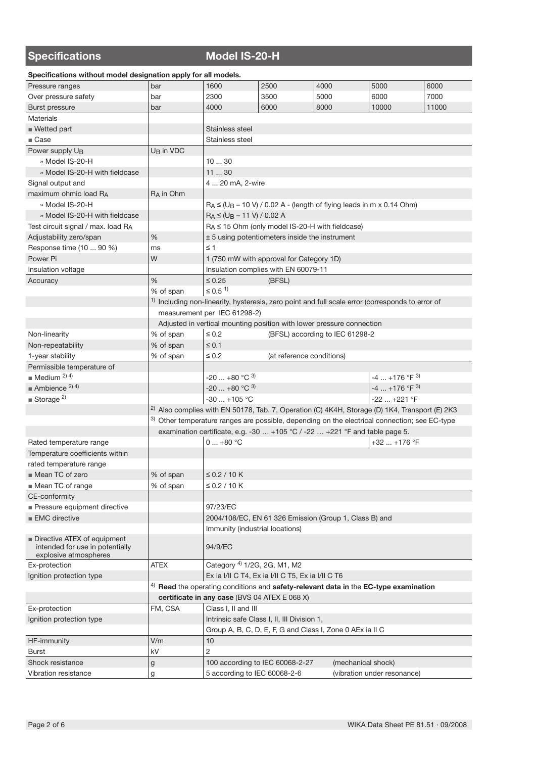# **Specifications Model IS-20-H**

**Specifications without model designation apply for all models.**

| 2500<br>4000<br>5000<br>6000<br>1600<br>Pressure ranges<br>bar<br>6000<br>Over pressure safety<br>2300<br>3500<br>5000<br>7000<br>bar<br>4000<br>8000<br>10000<br><b>Burst pressure</b><br>6000<br>11000<br>bar<br><b>Materials</b><br>■ Wetted part<br>Stainless steel<br>$\blacksquare$ Case<br>Stainless steel<br>Power supply U <sub>B</sub><br>U <sub>B</sub> in VDC<br>» Model IS-20-H<br>1030<br>1130<br>» Model IS-20-H with fieldcase<br>4  20 mA, 2-wire<br>Signal output and<br>maximum ohmic load RA<br>R <sub>A</sub> in Ohm<br>» Model IS-20-H<br>$R_A \leq (U_B - 10 \text{ V}) / 0.02 \text{ A}$ - (length of flying leads in m x 0.14 Ohm)<br>$R_A \leq (U_B - 11 V) / 0.02 A$<br>» Model IS-20-H with fieldcase<br>Test circuit signal / max. load RA<br>$R_A \le 15$ Ohm (only model IS-20-H with fieldcase)<br>$\%$<br>± 5 using potentiometers inside the instrument<br>Adjustability zero/span<br>Response time (10  90 %)<br>$\leq 1$<br>ms<br>W<br>Power Pi<br>1 (750 mW with approval for Category 1D)<br>Insulation complies with EN 60079-11<br>Insulation voltage<br>$\frac{0}{6}$<br>$\leq 0.25$<br>(BFSL)<br>Accuracy<br>$\leq 0.5$ <sup>1)</sup><br>% of span<br><sup>1)</sup> Including non-linearity, hysteresis, zero point and full scale error (corresponds to error of<br>measurement per IEC 61298-2)<br>Adjusted in vertical mounting position with lower pressure connection<br>$\leq 0.2$<br>(BFSL) according to IEC 61298-2<br>Non-linearity<br>% of span<br>% of span<br>$\leq 0.1$<br>Non-repeatability<br>$\leq 0.2$<br>(at reference conditions)<br>1-year stability<br>% of span<br>Permissible temperature of<br>$\blacksquare$ Medium <sup>2) 4)</sup><br>-20  +80 °C <sup>3)</sup><br>$-4+176$ °F $^{3)}$<br>$\blacksquare$ Ambience 2) 4)<br>$-20+80 °C$ <sup>3)</sup><br>$-4$ +176 °F $^{3)}$<br>Storage <sup>2)</sup><br>$-30$ $+105$ °C<br>-22  +221 °F<br><sup>2)</sup> Also complies with EN 50178, Tab. 7, Operation (C) $4K4H$ , Storage (D) 1K4, Transport (E) 2K3<br>3) Other temperature ranges are possible, depending on the electrical connection; see EC-type<br>examination certificate, e.g. -30  +105 °C / -22  +221 °F and table page 5.<br>0  +80 °C<br>$+32$ $+176$ °F<br>Rated temperature range<br>Temperature coefficients within<br>rated temperature range<br>■ Mean TC of zero<br>$≤$ 0.2 / 10 K<br>% of span<br>Mean TC of range<br>$\leq$ 0.2 / 10 K<br>% of span<br>CE-conformity<br>Pressure equipment directive<br>97/23/EC<br><b>EMC</b> directive<br>2004/108/EC, EN 61 326 Emission (Group 1, Class B) and<br>Immunity (industrial locations)<br>Directive ATEX of equipment<br>intended for use in potentially<br>94/9/EC<br>explosive atmospheres<br>Category <sup>4)</sup> 1/2G, 2G, M1, M2 |               |             |  |  |  |  |  |
|-------------------------------------------------------------------------------------------------------------------------------------------------------------------------------------------------------------------------------------------------------------------------------------------------------------------------------------------------------------------------------------------------------------------------------------------------------------------------------------------------------------------------------------------------------------------------------------------------------------------------------------------------------------------------------------------------------------------------------------------------------------------------------------------------------------------------------------------------------------------------------------------------------------------------------------------------------------------------------------------------------------------------------------------------------------------------------------------------------------------------------------------------------------------------------------------------------------------------------------------------------------------------------------------------------------------------------------------------------------------------------------------------------------------------------------------------------------------------------------------------------------------------------------------------------------------------------------------------------------------------------------------------------------------------------------------------------------------------------------------------------------------------------------------------------------------------------------------------------------------------------------------------------------------------------------------------------------------------------------------------------------------------------------------------------------------------------------------------------------------------------------------------------------------------------------------------------------------------------------------------------------------------------------------------------------------------------------------------------------------------------------------------------------------------------------------------------------------------------------------------------------------------------------------------------------------------------------------------------------------------------------------------------------------------------------------------------------------------------------------------------------------------------------|---------------|-------------|--|--|--|--|--|
|                                                                                                                                                                                                                                                                                                                                                                                                                                                                                                                                                                                                                                                                                                                                                                                                                                                                                                                                                                                                                                                                                                                                                                                                                                                                                                                                                                                                                                                                                                                                                                                                                                                                                                                                                                                                                                                                                                                                                                                                                                                                                                                                                                                                                                                                                                                                                                                                                                                                                                                                                                                                                                                                                                                                                                                     |               |             |  |  |  |  |  |
|                                                                                                                                                                                                                                                                                                                                                                                                                                                                                                                                                                                                                                                                                                                                                                                                                                                                                                                                                                                                                                                                                                                                                                                                                                                                                                                                                                                                                                                                                                                                                                                                                                                                                                                                                                                                                                                                                                                                                                                                                                                                                                                                                                                                                                                                                                                                                                                                                                                                                                                                                                                                                                                                                                                                                                                     |               |             |  |  |  |  |  |
|                                                                                                                                                                                                                                                                                                                                                                                                                                                                                                                                                                                                                                                                                                                                                                                                                                                                                                                                                                                                                                                                                                                                                                                                                                                                                                                                                                                                                                                                                                                                                                                                                                                                                                                                                                                                                                                                                                                                                                                                                                                                                                                                                                                                                                                                                                                                                                                                                                                                                                                                                                                                                                                                                                                                                                                     |               |             |  |  |  |  |  |
|                                                                                                                                                                                                                                                                                                                                                                                                                                                                                                                                                                                                                                                                                                                                                                                                                                                                                                                                                                                                                                                                                                                                                                                                                                                                                                                                                                                                                                                                                                                                                                                                                                                                                                                                                                                                                                                                                                                                                                                                                                                                                                                                                                                                                                                                                                                                                                                                                                                                                                                                                                                                                                                                                                                                                                                     |               |             |  |  |  |  |  |
|                                                                                                                                                                                                                                                                                                                                                                                                                                                                                                                                                                                                                                                                                                                                                                                                                                                                                                                                                                                                                                                                                                                                                                                                                                                                                                                                                                                                                                                                                                                                                                                                                                                                                                                                                                                                                                                                                                                                                                                                                                                                                                                                                                                                                                                                                                                                                                                                                                                                                                                                                                                                                                                                                                                                                                                     |               |             |  |  |  |  |  |
|                                                                                                                                                                                                                                                                                                                                                                                                                                                                                                                                                                                                                                                                                                                                                                                                                                                                                                                                                                                                                                                                                                                                                                                                                                                                                                                                                                                                                                                                                                                                                                                                                                                                                                                                                                                                                                                                                                                                                                                                                                                                                                                                                                                                                                                                                                                                                                                                                                                                                                                                                                                                                                                                                                                                                                                     |               |             |  |  |  |  |  |
|                                                                                                                                                                                                                                                                                                                                                                                                                                                                                                                                                                                                                                                                                                                                                                                                                                                                                                                                                                                                                                                                                                                                                                                                                                                                                                                                                                                                                                                                                                                                                                                                                                                                                                                                                                                                                                                                                                                                                                                                                                                                                                                                                                                                                                                                                                                                                                                                                                                                                                                                                                                                                                                                                                                                                                                     |               |             |  |  |  |  |  |
|                                                                                                                                                                                                                                                                                                                                                                                                                                                                                                                                                                                                                                                                                                                                                                                                                                                                                                                                                                                                                                                                                                                                                                                                                                                                                                                                                                                                                                                                                                                                                                                                                                                                                                                                                                                                                                                                                                                                                                                                                                                                                                                                                                                                                                                                                                                                                                                                                                                                                                                                                                                                                                                                                                                                                                                     |               |             |  |  |  |  |  |
|                                                                                                                                                                                                                                                                                                                                                                                                                                                                                                                                                                                                                                                                                                                                                                                                                                                                                                                                                                                                                                                                                                                                                                                                                                                                                                                                                                                                                                                                                                                                                                                                                                                                                                                                                                                                                                                                                                                                                                                                                                                                                                                                                                                                                                                                                                                                                                                                                                                                                                                                                                                                                                                                                                                                                                                     |               |             |  |  |  |  |  |
|                                                                                                                                                                                                                                                                                                                                                                                                                                                                                                                                                                                                                                                                                                                                                                                                                                                                                                                                                                                                                                                                                                                                                                                                                                                                                                                                                                                                                                                                                                                                                                                                                                                                                                                                                                                                                                                                                                                                                                                                                                                                                                                                                                                                                                                                                                                                                                                                                                                                                                                                                                                                                                                                                                                                                                                     |               |             |  |  |  |  |  |
|                                                                                                                                                                                                                                                                                                                                                                                                                                                                                                                                                                                                                                                                                                                                                                                                                                                                                                                                                                                                                                                                                                                                                                                                                                                                                                                                                                                                                                                                                                                                                                                                                                                                                                                                                                                                                                                                                                                                                                                                                                                                                                                                                                                                                                                                                                                                                                                                                                                                                                                                                                                                                                                                                                                                                                                     |               |             |  |  |  |  |  |
|                                                                                                                                                                                                                                                                                                                                                                                                                                                                                                                                                                                                                                                                                                                                                                                                                                                                                                                                                                                                                                                                                                                                                                                                                                                                                                                                                                                                                                                                                                                                                                                                                                                                                                                                                                                                                                                                                                                                                                                                                                                                                                                                                                                                                                                                                                                                                                                                                                                                                                                                                                                                                                                                                                                                                                                     |               |             |  |  |  |  |  |
|                                                                                                                                                                                                                                                                                                                                                                                                                                                                                                                                                                                                                                                                                                                                                                                                                                                                                                                                                                                                                                                                                                                                                                                                                                                                                                                                                                                                                                                                                                                                                                                                                                                                                                                                                                                                                                                                                                                                                                                                                                                                                                                                                                                                                                                                                                                                                                                                                                                                                                                                                                                                                                                                                                                                                                                     |               |             |  |  |  |  |  |
|                                                                                                                                                                                                                                                                                                                                                                                                                                                                                                                                                                                                                                                                                                                                                                                                                                                                                                                                                                                                                                                                                                                                                                                                                                                                                                                                                                                                                                                                                                                                                                                                                                                                                                                                                                                                                                                                                                                                                                                                                                                                                                                                                                                                                                                                                                                                                                                                                                                                                                                                                                                                                                                                                                                                                                                     |               |             |  |  |  |  |  |
|                                                                                                                                                                                                                                                                                                                                                                                                                                                                                                                                                                                                                                                                                                                                                                                                                                                                                                                                                                                                                                                                                                                                                                                                                                                                                                                                                                                                                                                                                                                                                                                                                                                                                                                                                                                                                                                                                                                                                                                                                                                                                                                                                                                                                                                                                                                                                                                                                                                                                                                                                                                                                                                                                                                                                                                     |               |             |  |  |  |  |  |
|                                                                                                                                                                                                                                                                                                                                                                                                                                                                                                                                                                                                                                                                                                                                                                                                                                                                                                                                                                                                                                                                                                                                                                                                                                                                                                                                                                                                                                                                                                                                                                                                                                                                                                                                                                                                                                                                                                                                                                                                                                                                                                                                                                                                                                                                                                                                                                                                                                                                                                                                                                                                                                                                                                                                                                                     |               |             |  |  |  |  |  |
|                                                                                                                                                                                                                                                                                                                                                                                                                                                                                                                                                                                                                                                                                                                                                                                                                                                                                                                                                                                                                                                                                                                                                                                                                                                                                                                                                                                                                                                                                                                                                                                                                                                                                                                                                                                                                                                                                                                                                                                                                                                                                                                                                                                                                                                                                                                                                                                                                                                                                                                                                                                                                                                                                                                                                                                     |               |             |  |  |  |  |  |
|                                                                                                                                                                                                                                                                                                                                                                                                                                                                                                                                                                                                                                                                                                                                                                                                                                                                                                                                                                                                                                                                                                                                                                                                                                                                                                                                                                                                                                                                                                                                                                                                                                                                                                                                                                                                                                                                                                                                                                                                                                                                                                                                                                                                                                                                                                                                                                                                                                                                                                                                                                                                                                                                                                                                                                                     |               |             |  |  |  |  |  |
|                                                                                                                                                                                                                                                                                                                                                                                                                                                                                                                                                                                                                                                                                                                                                                                                                                                                                                                                                                                                                                                                                                                                                                                                                                                                                                                                                                                                                                                                                                                                                                                                                                                                                                                                                                                                                                                                                                                                                                                                                                                                                                                                                                                                                                                                                                                                                                                                                                                                                                                                                                                                                                                                                                                                                                                     |               |             |  |  |  |  |  |
|                                                                                                                                                                                                                                                                                                                                                                                                                                                                                                                                                                                                                                                                                                                                                                                                                                                                                                                                                                                                                                                                                                                                                                                                                                                                                                                                                                                                                                                                                                                                                                                                                                                                                                                                                                                                                                                                                                                                                                                                                                                                                                                                                                                                                                                                                                                                                                                                                                                                                                                                                                                                                                                                                                                                                                                     |               |             |  |  |  |  |  |
|                                                                                                                                                                                                                                                                                                                                                                                                                                                                                                                                                                                                                                                                                                                                                                                                                                                                                                                                                                                                                                                                                                                                                                                                                                                                                                                                                                                                                                                                                                                                                                                                                                                                                                                                                                                                                                                                                                                                                                                                                                                                                                                                                                                                                                                                                                                                                                                                                                                                                                                                                                                                                                                                                                                                                                                     |               |             |  |  |  |  |  |
|                                                                                                                                                                                                                                                                                                                                                                                                                                                                                                                                                                                                                                                                                                                                                                                                                                                                                                                                                                                                                                                                                                                                                                                                                                                                                                                                                                                                                                                                                                                                                                                                                                                                                                                                                                                                                                                                                                                                                                                                                                                                                                                                                                                                                                                                                                                                                                                                                                                                                                                                                                                                                                                                                                                                                                                     |               |             |  |  |  |  |  |
|                                                                                                                                                                                                                                                                                                                                                                                                                                                                                                                                                                                                                                                                                                                                                                                                                                                                                                                                                                                                                                                                                                                                                                                                                                                                                                                                                                                                                                                                                                                                                                                                                                                                                                                                                                                                                                                                                                                                                                                                                                                                                                                                                                                                                                                                                                                                                                                                                                                                                                                                                                                                                                                                                                                                                                                     |               |             |  |  |  |  |  |
|                                                                                                                                                                                                                                                                                                                                                                                                                                                                                                                                                                                                                                                                                                                                                                                                                                                                                                                                                                                                                                                                                                                                                                                                                                                                                                                                                                                                                                                                                                                                                                                                                                                                                                                                                                                                                                                                                                                                                                                                                                                                                                                                                                                                                                                                                                                                                                                                                                                                                                                                                                                                                                                                                                                                                                                     |               |             |  |  |  |  |  |
|                                                                                                                                                                                                                                                                                                                                                                                                                                                                                                                                                                                                                                                                                                                                                                                                                                                                                                                                                                                                                                                                                                                                                                                                                                                                                                                                                                                                                                                                                                                                                                                                                                                                                                                                                                                                                                                                                                                                                                                                                                                                                                                                                                                                                                                                                                                                                                                                                                                                                                                                                                                                                                                                                                                                                                                     |               |             |  |  |  |  |  |
|                                                                                                                                                                                                                                                                                                                                                                                                                                                                                                                                                                                                                                                                                                                                                                                                                                                                                                                                                                                                                                                                                                                                                                                                                                                                                                                                                                                                                                                                                                                                                                                                                                                                                                                                                                                                                                                                                                                                                                                                                                                                                                                                                                                                                                                                                                                                                                                                                                                                                                                                                                                                                                                                                                                                                                                     |               |             |  |  |  |  |  |
|                                                                                                                                                                                                                                                                                                                                                                                                                                                                                                                                                                                                                                                                                                                                                                                                                                                                                                                                                                                                                                                                                                                                                                                                                                                                                                                                                                                                                                                                                                                                                                                                                                                                                                                                                                                                                                                                                                                                                                                                                                                                                                                                                                                                                                                                                                                                                                                                                                                                                                                                                                                                                                                                                                                                                                                     |               |             |  |  |  |  |  |
|                                                                                                                                                                                                                                                                                                                                                                                                                                                                                                                                                                                                                                                                                                                                                                                                                                                                                                                                                                                                                                                                                                                                                                                                                                                                                                                                                                                                                                                                                                                                                                                                                                                                                                                                                                                                                                                                                                                                                                                                                                                                                                                                                                                                                                                                                                                                                                                                                                                                                                                                                                                                                                                                                                                                                                                     |               |             |  |  |  |  |  |
|                                                                                                                                                                                                                                                                                                                                                                                                                                                                                                                                                                                                                                                                                                                                                                                                                                                                                                                                                                                                                                                                                                                                                                                                                                                                                                                                                                                                                                                                                                                                                                                                                                                                                                                                                                                                                                                                                                                                                                                                                                                                                                                                                                                                                                                                                                                                                                                                                                                                                                                                                                                                                                                                                                                                                                                     |               |             |  |  |  |  |  |
|                                                                                                                                                                                                                                                                                                                                                                                                                                                                                                                                                                                                                                                                                                                                                                                                                                                                                                                                                                                                                                                                                                                                                                                                                                                                                                                                                                                                                                                                                                                                                                                                                                                                                                                                                                                                                                                                                                                                                                                                                                                                                                                                                                                                                                                                                                                                                                                                                                                                                                                                                                                                                                                                                                                                                                                     |               |             |  |  |  |  |  |
|                                                                                                                                                                                                                                                                                                                                                                                                                                                                                                                                                                                                                                                                                                                                                                                                                                                                                                                                                                                                                                                                                                                                                                                                                                                                                                                                                                                                                                                                                                                                                                                                                                                                                                                                                                                                                                                                                                                                                                                                                                                                                                                                                                                                                                                                                                                                                                                                                                                                                                                                                                                                                                                                                                                                                                                     |               |             |  |  |  |  |  |
|                                                                                                                                                                                                                                                                                                                                                                                                                                                                                                                                                                                                                                                                                                                                                                                                                                                                                                                                                                                                                                                                                                                                                                                                                                                                                                                                                                                                                                                                                                                                                                                                                                                                                                                                                                                                                                                                                                                                                                                                                                                                                                                                                                                                                                                                                                                                                                                                                                                                                                                                                                                                                                                                                                                                                                                     |               |             |  |  |  |  |  |
|                                                                                                                                                                                                                                                                                                                                                                                                                                                                                                                                                                                                                                                                                                                                                                                                                                                                                                                                                                                                                                                                                                                                                                                                                                                                                                                                                                                                                                                                                                                                                                                                                                                                                                                                                                                                                                                                                                                                                                                                                                                                                                                                                                                                                                                                                                                                                                                                                                                                                                                                                                                                                                                                                                                                                                                     |               |             |  |  |  |  |  |
|                                                                                                                                                                                                                                                                                                                                                                                                                                                                                                                                                                                                                                                                                                                                                                                                                                                                                                                                                                                                                                                                                                                                                                                                                                                                                                                                                                                                                                                                                                                                                                                                                                                                                                                                                                                                                                                                                                                                                                                                                                                                                                                                                                                                                                                                                                                                                                                                                                                                                                                                                                                                                                                                                                                                                                                     |               |             |  |  |  |  |  |
|                                                                                                                                                                                                                                                                                                                                                                                                                                                                                                                                                                                                                                                                                                                                                                                                                                                                                                                                                                                                                                                                                                                                                                                                                                                                                                                                                                                                                                                                                                                                                                                                                                                                                                                                                                                                                                                                                                                                                                                                                                                                                                                                                                                                                                                                                                                                                                                                                                                                                                                                                                                                                                                                                                                                                                                     |               |             |  |  |  |  |  |
|                                                                                                                                                                                                                                                                                                                                                                                                                                                                                                                                                                                                                                                                                                                                                                                                                                                                                                                                                                                                                                                                                                                                                                                                                                                                                                                                                                                                                                                                                                                                                                                                                                                                                                                                                                                                                                                                                                                                                                                                                                                                                                                                                                                                                                                                                                                                                                                                                                                                                                                                                                                                                                                                                                                                                                                     |               |             |  |  |  |  |  |
|                                                                                                                                                                                                                                                                                                                                                                                                                                                                                                                                                                                                                                                                                                                                                                                                                                                                                                                                                                                                                                                                                                                                                                                                                                                                                                                                                                                                                                                                                                                                                                                                                                                                                                                                                                                                                                                                                                                                                                                                                                                                                                                                                                                                                                                                                                                                                                                                                                                                                                                                                                                                                                                                                                                                                                                     |               |             |  |  |  |  |  |
|                                                                                                                                                                                                                                                                                                                                                                                                                                                                                                                                                                                                                                                                                                                                                                                                                                                                                                                                                                                                                                                                                                                                                                                                                                                                                                                                                                                                                                                                                                                                                                                                                                                                                                                                                                                                                                                                                                                                                                                                                                                                                                                                                                                                                                                                                                                                                                                                                                                                                                                                                                                                                                                                                                                                                                                     |               |             |  |  |  |  |  |
|                                                                                                                                                                                                                                                                                                                                                                                                                                                                                                                                                                                                                                                                                                                                                                                                                                                                                                                                                                                                                                                                                                                                                                                                                                                                                                                                                                                                                                                                                                                                                                                                                                                                                                                                                                                                                                                                                                                                                                                                                                                                                                                                                                                                                                                                                                                                                                                                                                                                                                                                                                                                                                                                                                                                                                                     |               |             |  |  |  |  |  |
|                                                                                                                                                                                                                                                                                                                                                                                                                                                                                                                                                                                                                                                                                                                                                                                                                                                                                                                                                                                                                                                                                                                                                                                                                                                                                                                                                                                                                                                                                                                                                                                                                                                                                                                                                                                                                                                                                                                                                                                                                                                                                                                                                                                                                                                                                                                                                                                                                                                                                                                                                                                                                                                                                                                                                                                     |               |             |  |  |  |  |  |
|                                                                                                                                                                                                                                                                                                                                                                                                                                                                                                                                                                                                                                                                                                                                                                                                                                                                                                                                                                                                                                                                                                                                                                                                                                                                                                                                                                                                                                                                                                                                                                                                                                                                                                                                                                                                                                                                                                                                                                                                                                                                                                                                                                                                                                                                                                                                                                                                                                                                                                                                                                                                                                                                                                                                                                                     |               |             |  |  |  |  |  |
|                                                                                                                                                                                                                                                                                                                                                                                                                                                                                                                                                                                                                                                                                                                                                                                                                                                                                                                                                                                                                                                                                                                                                                                                                                                                                                                                                                                                                                                                                                                                                                                                                                                                                                                                                                                                                                                                                                                                                                                                                                                                                                                                                                                                                                                                                                                                                                                                                                                                                                                                                                                                                                                                                                                                                                                     |               |             |  |  |  |  |  |
|                                                                                                                                                                                                                                                                                                                                                                                                                                                                                                                                                                                                                                                                                                                                                                                                                                                                                                                                                                                                                                                                                                                                                                                                                                                                                                                                                                                                                                                                                                                                                                                                                                                                                                                                                                                                                                                                                                                                                                                                                                                                                                                                                                                                                                                                                                                                                                                                                                                                                                                                                                                                                                                                                                                                                                                     |               |             |  |  |  |  |  |
|                                                                                                                                                                                                                                                                                                                                                                                                                                                                                                                                                                                                                                                                                                                                                                                                                                                                                                                                                                                                                                                                                                                                                                                                                                                                                                                                                                                                                                                                                                                                                                                                                                                                                                                                                                                                                                                                                                                                                                                                                                                                                                                                                                                                                                                                                                                                                                                                                                                                                                                                                                                                                                                                                                                                                                                     |               |             |  |  |  |  |  |
|                                                                                                                                                                                                                                                                                                                                                                                                                                                                                                                                                                                                                                                                                                                                                                                                                                                                                                                                                                                                                                                                                                                                                                                                                                                                                                                                                                                                                                                                                                                                                                                                                                                                                                                                                                                                                                                                                                                                                                                                                                                                                                                                                                                                                                                                                                                                                                                                                                                                                                                                                                                                                                                                                                                                                                                     |               |             |  |  |  |  |  |
|                                                                                                                                                                                                                                                                                                                                                                                                                                                                                                                                                                                                                                                                                                                                                                                                                                                                                                                                                                                                                                                                                                                                                                                                                                                                                                                                                                                                                                                                                                                                                                                                                                                                                                                                                                                                                                                                                                                                                                                                                                                                                                                                                                                                                                                                                                                                                                                                                                                                                                                                                                                                                                                                                                                                                                                     |               |             |  |  |  |  |  |
|                                                                                                                                                                                                                                                                                                                                                                                                                                                                                                                                                                                                                                                                                                                                                                                                                                                                                                                                                                                                                                                                                                                                                                                                                                                                                                                                                                                                                                                                                                                                                                                                                                                                                                                                                                                                                                                                                                                                                                                                                                                                                                                                                                                                                                                                                                                                                                                                                                                                                                                                                                                                                                                                                                                                                                                     | Ex-protection | <b>ATEX</b> |  |  |  |  |  |
| Ex ia I/II C T4, Ex ia I/II C T5, Ex ia I/II C T6<br>Ignition protection type                                                                                                                                                                                                                                                                                                                                                                                                                                                                                                                                                                                                                                                                                                                                                                                                                                                                                                                                                                                                                                                                                                                                                                                                                                                                                                                                                                                                                                                                                                                                                                                                                                                                                                                                                                                                                                                                                                                                                                                                                                                                                                                                                                                                                                                                                                                                                                                                                                                                                                                                                                                                                                                                                                       |               |             |  |  |  |  |  |
| $4)$ Read the operating conditions and safety-relevant data in the EC-type examination                                                                                                                                                                                                                                                                                                                                                                                                                                                                                                                                                                                                                                                                                                                                                                                                                                                                                                                                                                                                                                                                                                                                                                                                                                                                                                                                                                                                                                                                                                                                                                                                                                                                                                                                                                                                                                                                                                                                                                                                                                                                                                                                                                                                                                                                                                                                                                                                                                                                                                                                                                                                                                                                                              |               |             |  |  |  |  |  |
| certificate in any case (BVS 04 ATEX E 068 X)                                                                                                                                                                                                                                                                                                                                                                                                                                                                                                                                                                                                                                                                                                                                                                                                                                                                                                                                                                                                                                                                                                                                                                                                                                                                                                                                                                                                                                                                                                                                                                                                                                                                                                                                                                                                                                                                                                                                                                                                                                                                                                                                                                                                                                                                                                                                                                                                                                                                                                                                                                                                                                                                                                                                       |               |             |  |  |  |  |  |
| FM, CSA<br>Class I, II and III<br>Ex-protection                                                                                                                                                                                                                                                                                                                                                                                                                                                                                                                                                                                                                                                                                                                                                                                                                                                                                                                                                                                                                                                                                                                                                                                                                                                                                                                                                                                                                                                                                                                                                                                                                                                                                                                                                                                                                                                                                                                                                                                                                                                                                                                                                                                                                                                                                                                                                                                                                                                                                                                                                                                                                                                                                                                                     |               |             |  |  |  |  |  |
| Ignition protection type<br>Intrinsic safe Class I, II, III Division 1,                                                                                                                                                                                                                                                                                                                                                                                                                                                                                                                                                                                                                                                                                                                                                                                                                                                                                                                                                                                                                                                                                                                                                                                                                                                                                                                                                                                                                                                                                                                                                                                                                                                                                                                                                                                                                                                                                                                                                                                                                                                                                                                                                                                                                                                                                                                                                                                                                                                                                                                                                                                                                                                                                                             |               |             |  |  |  |  |  |
| Group A, B, C, D, E, F, G and Class I, Zone 0 AEx ia II C                                                                                                                                                                                                                                                                                                                                                                                                                                                                                                                                                                                                                                                                                                                                                                                                                                                                                                                                                                                                                                                                                                                                                                                                                                                                                                                                                                                                                                                                                                                                                                                                                                                                                                                                                                                                                                                                                                                                                                                                                                                                                                                                                                                                                                                                                                                                                                                                                                                                                                                                                                                                                                                                                                                           |               |             |  |  |  |  |  |
| V/m<br>10<br>HF-immunity                                                                                                                                                                                                                                                                                                                                                                                                                                                                                                                                                                                                                                                                                                                                                                                                                                                                                                                                                                                                                                                                                                                                                                                                                                                                                                                                                                                                                                                                                                                                                                                                                                                                                                                                                                                                                                                                                                                                                                                                                                                                                                                                                                                                                                                                                                                                                                                                                                                                                                                                                                                                                                                                                                                                                            |               |             |  |  |  |  |  |
| <b>Burst</b><br>kV<br>2                                                                                                                                                                                                                                                                                                                                                                                                                                                                                                                                                                                                                                                                                                                                                                                                                                                                                                                                                                                                                                                                                                                                                                                                                                                                                                                                                                                                                                                                                                                                                                                                                                                                                                                                                                                                                                                                                                                                                                                                                                                                                                                                                                                                                                                                                                                                                                                                                                                                                                                                                                                                                                                                                                                                                             |               |             |  |  |  |  |  |
| Shock resistance<br>100 according to IEC 60068-2-27<br>(mechanical shock)<br>g                                                                                                                                                                                                                                                                                                                                                                                                                                                                                                                                                                                                                                                                                                                                                                                                                                                                                                                                                                                                                                                                                                                                                                                                                                                                                                                                                                                                                                                                                                                                                                                                                                                                                                                                                                                                                                                                                                                                                                                                                                                                                                                                                                                                                                                                                                                                                                                                                                                                                                                                                                                                                                                                                                      |               |             |  |  |  |  |  |
| Vibration resistance<br>5 according to IEC 60068-2-6<br>(vibration under resonance)<br>g                                                                                                                                                                                                                                                                                                                                                                                                                                                                                                                                                                                                                                                                                                                                                                                                                                                                                                                                                                                                                                                                                                                                                                                                                                                                                                                                                                                                                                                                                                                                                                                                                                                                                                                                                                                                                                                                                                                                                                                                                                                                                                                                                                                                                                                                                                                                                                                                                                                                                                                                                                                                                                                                                            |               |             |  |  |  |  |  |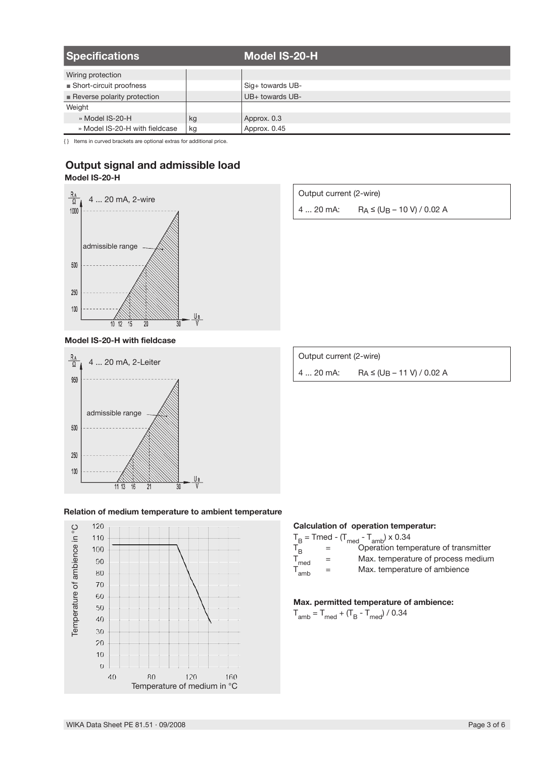| <b>Specifications</b>                      |    | Model IS-20-H    |
|--------------------------------------------|----|------------------|
| Wiring protection                          |    |                  |
| ■ Short-circuit proofness                  |    | Sig+ towards UB- |
| $\blacksquare$ Reverse polarity protection |    | UB+ towards UB-  |
| Weight                                     |    |                  |
| » Model IS-20-H                            | kg | Approx. 0.3      |
| » Model IS-20-H with fieldcase             | kg | Approx. 0.45     |

{ } Items in curved brackets are optional extras for additional price.

## **Model IS-20-H Output signal and admissible load**



| Output current (2-wire) |                                |  |  |
|-------------------------|--------------------------------|--|--|
| 4  20 mA:               | $RA \leq (UB - 10 V) / 0.02 A$ |  |  |

## **Model IS-20-H with fieldcase**



# Output current (2-wire) 4 ... 20 mA: RA ≤ (UB – 11 V) / 0.02 A





## **Calculation of operation temperatur:**

|                    |     | $\frac{1}{2} \left( \frac{1}{2} \left( \frac{1}{2} \left( \frac{1}{2} \left( \frac{1}{2} \left( \frac{1}{2} \left( \frac{1}{2} \left( \frac{1}{2} \left( \frac{1}{2} \left( \frac{1}{2} \left( \frac{1}{2} \left( \frac{1}{2} \left( \frac{1}{2} \left( \frac{1}{2} \left( \frac{1}{2} \left( \frac{1}{2} \left( \frac{1}{2} \right) \right) \right) \right) \right) \right) \right) \right) \right) \right) - \frac{1}{2} \left( \frac{1}{2} \left( \frac$ |
|--------------------|-----|-------------------------------------------------------------------------------------------------------------------------------------------------------------------------------------------------------------------------------------------------------------------------------------------------------------------------------------------------------------------------------------------------------------------------------------------------------------|
|                    |     | $T_B$ = Tmed - $(T_{med} - T_{amb}) \times 0.34$                                                                                                                                                                                                                                                                                                                                                                                                            |
| $T_R$              |     | Operation temperature of transmitter                                                                                                                                                                                                                                                                                                                                                                                                                        |
| $T_{\text{med}}$   | $=$ | Max. temperature of process medium                                                                                                                                                                                                                                                                                                                                                                                                                          |
| $T_{\mathsf{amb}}$ | $=$ | Max. temperature of ambience                                                                                                                                                                                                                                                                                                                                                                                                                                |

## **Max. permitted temperature of ambience:**

 $T_{amb} = T_{med} + (T_B - T_{med}) / 0.34$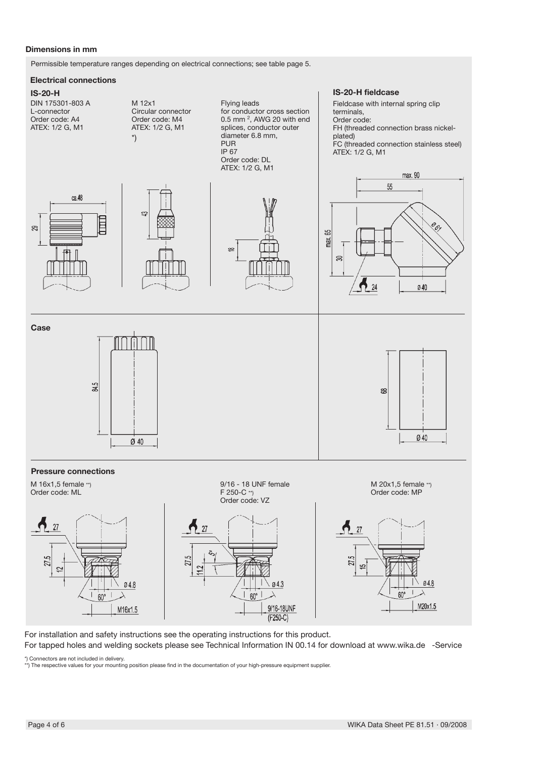## **Dimensions in mm**

Permissible temperature ranges depending on electrical connections; see table page 5.

#### **Electrical connections**

#### **IS-20-H**



For installation and safety instructions see the operating instructions for this product. For tapped holes and welding sockets please see Technical Information IN 00.14 for download at www.wika.de -Service

\*) Connectors are not included in delivery. \*\*) The respective values for your mounting position please find in the documentation of your high-pressure equipment supplier.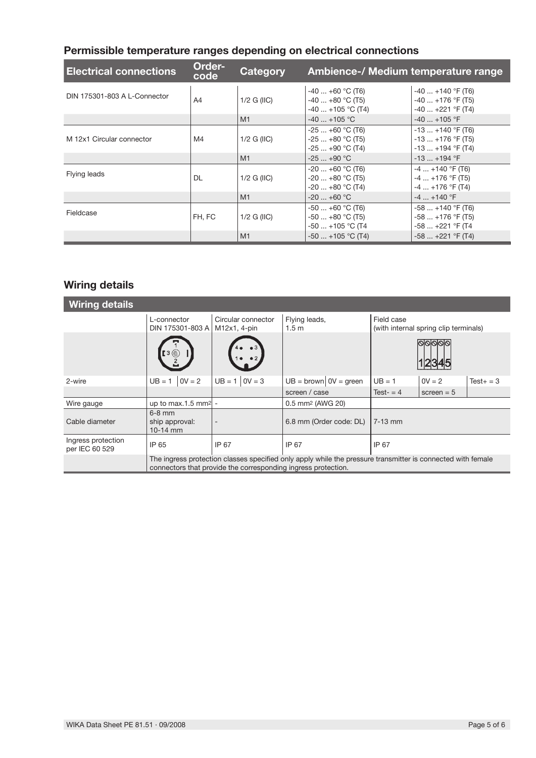# **Permissible temperature ranges depending on electrical connections**

| <b>Electrical connections</b> | Order-<br>code | Category      | Ambience-/ Medium temperature range                            |                                                                      |
|-------------------------------|----------------|---------------|----------------------------------------------------------------|----------------------------------------------------------------------|
| DIN 175301-803 A L-Connector  | A4             | $1/2$ G (IIC) | $-40+60$ °C (T6)<br>$-40+80$ °C (T5)<br>$-40$ $+105$ °C (T4)   | $-40$ $+140$ °F (T6)<br>$-40$ $+176$ °F (T5)<br>$-40$ $+221$ °F (T4) |
|                               |                | M1            | $-40$ $+105$ °C                                                | $-40$ $+105$ °F                                                      |
| M 12x1 Circular connector     | M4             | $1/2$ G (IIC) | $-25+60$ °C (T6)<br>$-25+80$ °C (T5)<br>$-25+90$ °C (T4)       | $-13$ $+140$ °F (T6)<br>$-13$ $+176$ °F (T5)<br>$-13$ $+194$ °F (T4) |
|                               |                | M1            | $-25+90 °C$                                                    | $-13$ $+194$ °F                                                      |
| Flying leads                  | DL             | $1/2$ G (IIC) | $-20+60$ °C (T6)<br>$-20$ $+80$ °C (T5)<br>$-20$ $+80$ °C (T4) | $-4+140$ °F (T6)<br>$-4+176$ °F (T5)<br>$-4+176$ °F (T4)             |
|                               |                | M1            | $-20$ $+60$ °C                                                 | $-4$ $+140$ °F                                                       |
| Fieldcase                     | FH. FC         | $1/2$ G (IIC) | $-50+60$ °C (T6)<br>$-50+80$ °C (T5)<br>$-50$ $+105$ °C (T4    | $-58+140$ °F (T6)<br>$-58+176$ °F (T5)<br>$-58+221$ °F (T4           |
|                               |                | M1            | $-50$ $+105$ °C (T4)                                           | $-58$ $+221$ °F (T4)                                                 |

# **Wiring details**

| <b>Wiring details</b>                |                                                                                                                                                                              |                          |                                   |             |                                       |              |
|--------------------------------------|------------------------------------------------------------------------------------------------------------------------------------------------------------------------------|--------------------------|-----------------------------------|-------------|---------------------------------------|--------------|
|                                      | L-connector<br>DIN 175301-803 A   M12x1, 4-pin                                                                                                                               | Circular connector       | Flying leads,<br>1.5 <sub>m</sub> | Field case  | (with internal spring clip terminals) |              |
|                                      | [3 (©                                                                                                                                                                        |                          |                                   |             |                                       |              |
| 2-wire                               | $0V = 2$<br>$UB = 1$                                                                                                                                                         | $UB = 1   0V = 3$        | $UB = brown   0V = green$         | $UB = 1$    | $0V = 2$                              | $Test + = 3$ |
|                                      |                                                                                                                                                                              |                          | screen / case                     | Test- $=$ 4 | screen $= 5$                          |              |
| Wire gauge                           | up to max.1.5 mm <sup>2</sup> -                                                                                                                                              |                          | 0.5 mm <sup>2</sup> (AWG 20)      |             |                                       |              |
| Cable diameter                       | $6-8$ mm<br>ship approval:<br>$10-14$ mm                                                                                                                                     | $\overline{\phantom{a}}$ | 6.8 mm (Order code: DL)           | $7-13$ mm   |                                       |              |
| Ingress protection<br>per IEC 60 529 | IP 65                                                                                                                                                                        | IP 67                    | IP 67                             | IP 67       |                                       |              |
|                                      | The ingress protection classes specified only apply while the pressure transmitter is connected with female<br>connectors that provide the corresponding ingress protection. |                          |                                   |             |                                       |              |